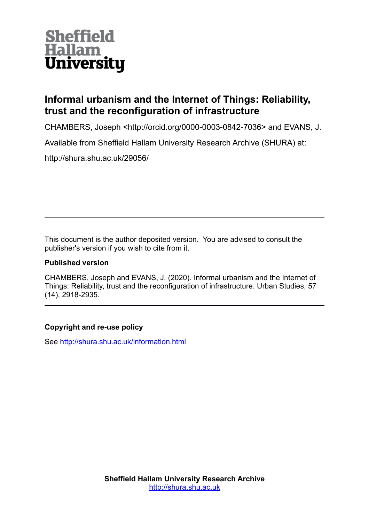

## **Informal urbanism and the Internet of Things: Reliability, trust and the reconfiguration of infrastructure**

CHAMBERS, Joseph <http://orcid.org/0000-0003-0842-7036> and EVANS, J.

Available from Sheffield Hallam University Research Archive (SHURA) at:

http://shura.shu.ac.uk/29056/

This document is the author deposited version. You are advised to consult the publisher's version if you wish to cite from it.

## **Published version**

CHAMBERS, Joseph and EVANS, J. (2020). Informal urbanism and the Internet of Things: Reliability, trust and the reconfiguration of infrastructure. Urban Studies, 57 (14), 2918-2935.

## **Copyright and re-use policy**

See<http://shura.shu.ac.uk/information.html>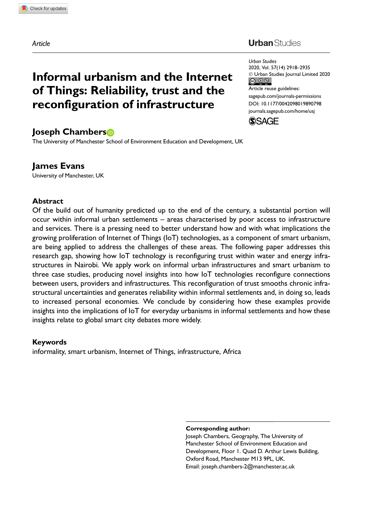Article

#### **Urban** Studies

Urban Studies 2020, Vol. 57(14) 2918–2935 - Urban Studies Journal Limited 2020 Article reuse guidelines: [sagepub.com/journals-permissions](https://uk.sagepub.com/en-gb/journals-permissions) [DOI: 10.1177/0042098019890798](https://doi.org/10.1177/0042098019890798) <journals.sagepub.com/home/usj>



# of Things: Reliability, trust and the reconfiguration of infrastructure

Informal urbanism and the Internet

## Joseph Chambers

The University of Manchester School of Environment Education and Development, UK

#### James Evans

University of Manchester, UK

#### Abstract

Of the build out of humanity predicted up to the end of the century, a substantial portion will occur within informal urban settlements – areas characterised by poor access to infrastructure and services. There is a pressing need to better understand how and with what implications the growing proliferation of Internet of Things (IoT) technologies, as a component of smart urbanism, are being applied to address the challenges of these areas. The following paper addresses this research gap, showing how IoT technology is reconfiguring trust within water and energy infrastructures in Nairobi. We apply work on informal urban infrastructures and smart urbanism to three case studies, producing novel insights into how IoT technologies reconfigure connections between users, providers and infrastructures. This reconfiguration of trust smooths chronic infrastructural uncertainties and generates reliability within informal settlements and, in doing so, leads to increased personal economies. We conclude by considering how these examples provide insights into the implications of IoT for everyday urbanisms in informal settlements and how these insights relate to global smart city debates more widely.

#### Keywords

informality, smart urbanism, Internet of Things, infrastructure, Africa

Corresponding author:

Joseph Chambers, Geography, The University of Manchester School of Environment Education and Development, Floor 1. Quad D. Arthur Lewis Building, Oxford Road, Manchester M13 9PL, UK. Email: joseph.chambers-2@manchester.ac.uk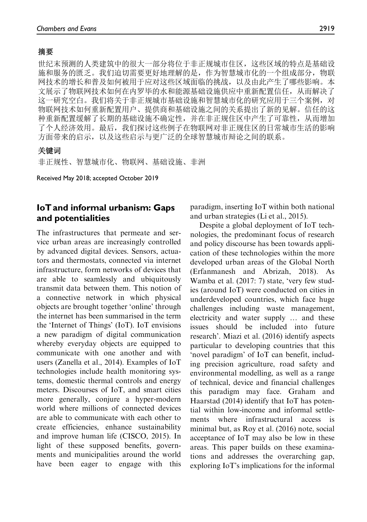#### 摘要

世纪末预测的人类建筑中的很大一部分将位于非正规城市住区, 这些区域的特点是基础设 施和服务的匮乏。我们迫切需要更好地理解的是,作为智慧城市化的一个组成部分,物联 网技术的增长和普及如何被用于应对这些区域面临的挑战,以及由此产生了哪些影响。本 文展示了物联网技术如何在内罗毕的水和能源基础设施供应中重新配置信任,从而解决了 这一研究空白。我们将关于非正规城市基础设施和智慧城市化的研究应用于三个案例,对 物联网技术如何重新配置用户、提供商和基础设施之间的关系提出了新的见解。信任的这 种重新配置缓解了长期的基础设施不确定性,并在非正规住区中产生了可靠性,从而增加 了个人经济效用。最后,我们探讨这些例子在物联网对非正规住区的日常城市生活的影响 方面带来的启示,以及这些启示与更广泛的全球智慧城市辩论之间的联系。

#### 关键词

非正规性、智慧城市化、物联网、基础设施、非洲

Received May 2018; accepted October 2019

#### IoT and informal urbanism: Gaps and potentialities

The infrastructures that permeate and service urban areas are increasingly controlled by advanced digital devices. Sensors, actuators and thermostats, connected via internet infrastructure, form networks of devices that are able to seamlessly and ubiquitously transmit data between them. This notion of a connective network in which physical objects are brought together 'online' through the internet has been summarised in the term the 'Internet of Things' (IoT). IoT envisions a new paradigm of digital communication whereby everyday objects are equipped to communicate with one another and with users (Zanella et al., 2014). Examples of IoT technologies include health monitoring systems, domestic thermal controls and energy meters. Discourses of IoT, and smart cities more generally, conjure a hyper-modern world where millions of connected devices are able to communicate with each other to create efficiencies, enhance sustainability and improve human life (CISCO, 2015). In light of these supposed benefits, governments and municipalities around the world have been eager to engage with this

paradigm, inserting IoT within both national and urban strategies (Li et al., 2015).

Despite a global deployment of IoT technologies, the predominant focus of research and policy discourse has been towards application of these technologies within the more developed urban areas of the Global North (Erfanmanesh and Abrizah, 2018). As Wamba et al. (2017: 7) state, 'very few studies (around IoT) were conducted on cities in underdeveloped countries, which face huge challenges including waste management, electricity and water supply ... and these issues should be included into future research'. Miazi et al. (2016) identify aspects particular to developing countries that this 'novel paradigm' of IoT can benefit, including precision agriculture, road safety and environmental modelling, as well as a range of technical, device and financial challenges this paradigm may face. Graham and Haarstad (2014) identify that IoT has potential within low-income and informal settlements where infrastructural access minimal but, as Roy et al. (2016) note, social acceptance of IoT may also be low in these areas. This paper builds on these examinations and addresses the overarching gap, exploring IoT's implications for the informal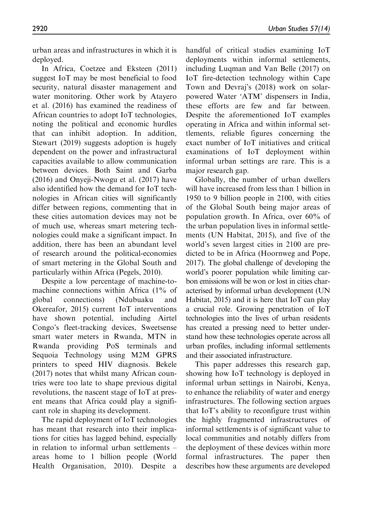urban areas and infrastructures in which it is deployed.

In Africa, Coetzee and Eksteen (2011) suggest IoT may be most beneficial to food security, natural disaster management and water monitoring. Other work by Atayero et al. (2016) has examined the readiness of African countries to adopt IoT technologies, noting the political and economic hurdles that can inhibit adoption. In addition, Stewart (2019) suggests adoption is hugely dependent on the power and infrastructural capacities available to allow communication between devices. Both Saint and Garba (2016) and Onyeji-Nwogu et al. (2017) have also identified how the demand for IoT technologies in African cities will significantly differ between regions, commenting that in these cities automation devices may not be of much use, whereas smart metering technologies could make a significant impact. In addition, there has been an abundant level of research around the political-economies of smart metering in the Global South and particularly within Africa (Pegels, 2010).

Despite a low percentage of machine-tomachine connections within Africa (1% of global connections) (Ndubuaku and Okereafor, 2015) current IoT interventions have shown potential, including Airtel Congo's fleet-tracking devices, Sweetsense smart water meters in Rwanda, MTN in Rwanda providing PoS terminals and Sequoia Technology using M2M GPRS printers to speed HIV diagnosis. Bekele (2017) notes that whilst many African countries were too late to shape previous digital revolutions, the nascent stage of IoT at present means that Africa could play a significant role in shaping its development.

The rapid deployment of IoT technologies has meant that research into their implications for cities has lagged behind, especially in relation to informal urban settlements – areas home to 1 billion people (World Health Organisation, 2010). Despite a handful of critical studies examining IoT deployments within informal settlements, including Luqman and Van Belle (2017) on IoT fire-detection technology within Cape Town and Devraj's (2018) work on solarpowered Water 'ATM' dispensers in India, these efforts are few and far between. Despite the aforementioned IoT examples operating in Africa and within informal settlements, reliable figures concerning the exact number of IoT initiatives and critical examinations of IoT deployment within informal urban settings are rare. This is a major research gap.

Globally, the number of urban dwellers will have increased from less than 1 billion in 1950 to 9 billion people in 2100, with cities of the Global South being major areas of population growth. In Africa, over 60% of the urban population lives in informal settlements (UN Habitat, 2015), and five of the world's seven largest cities in 2100 are predicted to be in Africa (Hoornweg and Pope, 2017). The global challenge of developing the world's poorer population while limiting carbon emissions will be won or lost in cities characterised by informal urban development (UN Habitat, 2015) and it is here that IoT can play a crucial role. Growing penetration of IoT technologies into the lives of urban residents has created a pressing need to better understand how these technologies operate across all urban profiles, including informal settlements and their associated infrastructure.

This paper addresses this research gap, showing how IoT technology is deployed in informal urban settings in Nairobi, Kenya, to enhance the reliability of water and energy infrastructures. The following section argues that IoT's ability to reconfigure trust within the highly fragmented infrastructures of informal settlements is of significant value to local communities and notably differs from the deployment of these devices within more formal infrastructures. The paper then describes how these arguments are developed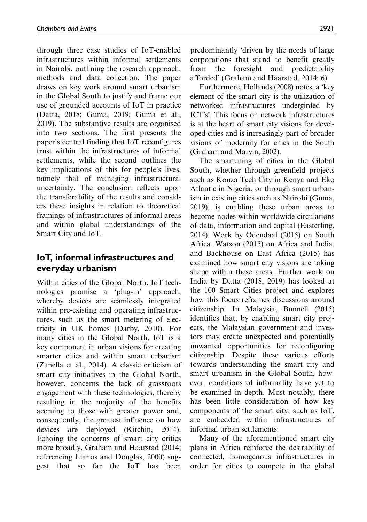through three case studies of IoT-enabled infrastructures within informal settlements in Nairobi, outlining the research approach, methods and data collection. The paper draws on key work around smart urbanism in the Global South to justify and frame our use of grounded accounts of IoT in practice (Datta, 2018; Guma, 2019; Guma et al., 2019). The substantive results are organised into two sections. The first presents the paper's central finding that IoT reconfigures trust within the infrastructures of informal settlements, while the second outlines the key implications of this for people's lives, namely that of managing infrastructural uncertainty. The conclusion reflects upon the transferability of the results and considers these insights in relation to theoretical framings of infrastructures of informal areas and within global understandings of the Smart City and IoT.

## IoT, informal infrastructures and everyday urbanism

Within cities of the Global North, IoT technologies promise a 'plug-in' approach, whereby devices are seamlessly integrated within pre-existing and operating infrastructures, such as the smart metering of electricity in UK homes (Darby, 2010). For many cities in the Global North, IoT is a key component in urban visions for creating smarter cities and within smart urbanism (Zanella et al., 2014). A classic criticism of smart city initiatives in the Global North, however, concerns the lack of grassroots engagement with these technologies, thereby resulting in the majority of the benefits accruing to those with greater power and, consequently, the greatest influence on how devices are deployed (Kitchin, 2014). Echoing the concerns of smart city critics more broadly, Graham and Haarstad (2014; referencing Lianos and Douglas, 2000) suggest that so far the IoT has been

predominantly 'driven by the needs of large corporations that stand to benefit greatly from the foresight and predictability afforded' (Graham and Haarstad, 2014: 6).

Furthermore, Hollands (2008) notes, a 'key element of the smart city is the utilization of networked infrastructures undergirded by ICT's'. This focus on network infrastructures is at the heart of smart city visions for developed cities and is increasingly part of broader visions of modernity for cities in the South (Graham and Marvin, 2002).

The smartening of cities in the Global South, whether through greenfield projects such as Konza Tech City in Kenya and Eko Atlantic in Nigeria, or through smart urbanism in existing cities such as Nairobi (Guma, 2019), is enabling these urban areas to become nodes within worldwide circulations of data, information and capital (Easterling, 2014). Work by Odendaal (2015) on South Africa, Watson (2015) on Africa and India, and Backhouse on East Africa (2015) has examined how smart city visions are taking shape within these areas. Further work on India by Datta (2018, 2019) has looked at the 100 Smart Cities project and explores how this focus reframes discussions around citizenship. In Malaysia, Bunnell (2015) identifies that, by enabling smart city projects, the Malaysian government and investors may create unexpected and potentially unwanted opportunities for reconfiguring citizenship. Despite these various efforts towards understanding the smart city and smart urbanism in the Global South, however, conditions of informality have yet to be examined in depth. Most notably, there has been little consideration of how key components of the smart city, such as IoT, are embedded within infrastructures of informal urban settlements.

Many of the aforementioned smart city plans in Africa reinforce the desirability of connected, homogenous infrastructures in order for cities to compete in the global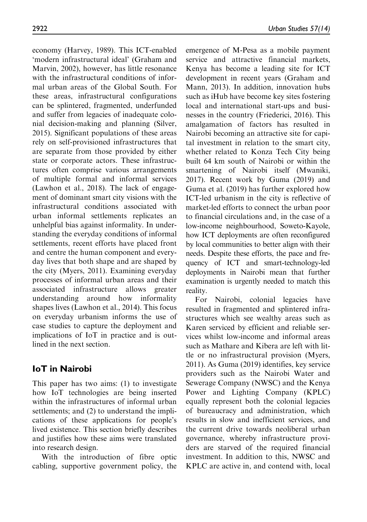economy (Harvey, 1989). This ICT-enabled 'modern infrastructural ideal' (Graham and Marvin, 2002), however, has little resonance with the infrastructural conditions of informal urban areas of the Global South. For these areas, infrastructural configurations can be splintered, fragmented, underfunded and suffer from legacies of inadequate colonial decision-making and planning (Silver, 2015). Significant populations of these areas rely on self-provisioned infrastructures that are separate from those provided by either state or corporate actors. These infrastructures often comprise various arrangements of multiple formal and informal services (Lawhon et al., 2018). The lack of engagement of dominant smart city visions with the infrastructural conditions associated with urban informal settlements replicates an unhelpful bias against informality. In understanding the everyday conditions of informal settlements, recent efforts have placed front and centre the human component and everyday lives that both shape and are shaped by the city (Myers, 2011). Examining everyday processes of informal urban areas and their associated infrastructure allows greater understanding around how informality shapes lives (Lawhon et al., 2014). This focus on everyday urbanism informs the use of case studies to capture the deployment and implications of IoT in practice and is outlined in the next section.

## IoT in Nairobi

This paper has two aims: (1) to investigate how IoT technologies are being inserted within the infrastructures of informal urban settlements; and (2) to understand the implications of these applications for people's lived existence. This section briefly describes and justifies how these aims were translated into research design.

With the introduction of fibre optic cabling, supportive government policy, the emergence of M-Pesa as a mobile payment service and attractive financial markets, Kenya has become a leading site for ICT development in recent years (Graham and Mann, 2013). In addition, innovation hubs such as iHub have become key sites fostering local and international start-ups and businesses in the country (Friederici, 2016). This amalgamation of factors has resulted in Nairobi becoming an attractive site for capital investment in relation to the smart city, whether related to Konza Tech City being built 64 km south of Nairobi or within the smartening of Nairobi itself (Mwaniki, 2017). Recent work by Guma (2019) and Guma et al. (2019) has further explored how ICT-led urbanism in the city is reflective of market-led efforts to connect the urban poor to financial circulations and, in the case of a low-income neighbourhood, Soweto-Kayole, how ICT deployments are often reconfigured by local communities to better align with their needs. Despite these efforts, the pace and frequency of ICT and smart-technology-led deployments in Nairobi mean that further examination is urgently needed to match this reality.

For Nairobi, colonial legacies have resulted in fragmented and splintered infrastructures which see wealthy areas such as Karen serviced by efficient and reliable services whilst low-income and informal areas such as Mathare and Kibera are left with little or no infrastructural provision (Myers, 2011). As Guma (2019) identifies, key service providers such as the Nairobi Water and Sewerage Company (NWSC) and the Kenya Power and Lighting Company (KPLC) equally represent both the colonial legacies of bureaucracy and administration, which results in slow and inefficient services, and the current drive towards neoliberal urban governance, whereby infrastructure providers are starved of the required financial investment. In addition to this, NWSC and KPLC are active in, and contend with, local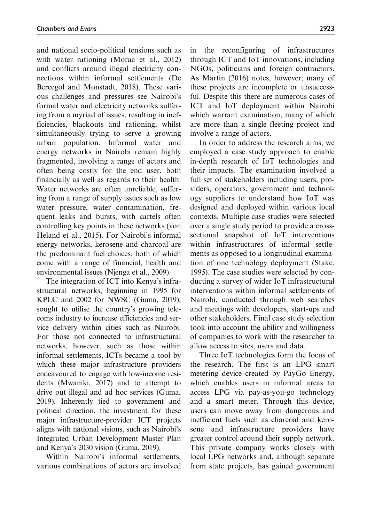and national socio-political tensions such as with water rationing (Moraa et al., 2012) and conflicts around illegal electricity connections within informal settlements (De Bercegol and Monstadt, 2018). These various challenges and pressures see Nairobi's formal water and electricity networks suffering from a myriad of issues, resulting in inefficiencies, blackouts and rationing, whilst simultaneously trying to serve a growing urban population. Informal water and energy networks in Nairobi remain highly fragmented, involving a range of actors and often being costly for the end user, both financially as well as regards to their health. Water networks are often unreliable, suffering from a range of supply issues such as low water pressure, water contamination, frequent leaks and bursts, with cartels often controlling key points in these networks (von Heland et al., 2015). For Nairobi's informal energy networks, kerosene and charcoal are the predominant fuel choices, both of which come with a range of financial, health and environmental issues (Njenga et al., 2009).

The integration of ICT into Kenya's infrastructural networks, beginning in 1995 for KPLC and 2002 for NWSC (Guma, 2019), sought to utilise the country's growing telecoms industry to increase efficiencies and service delivery within cities such as Nairobi. For those not connected to infrastructural networks, however, such as those within informal settlements, ICTs became a tool by which these major infrastructure providers endeavoured to engage with low-income residents (Mwaniki, 2017) and to attempt to drive out illegal and ad hoc services (Guma, 2019). Inherently tied to government and political direction, the investment for these major infrastructure-provider ICT projects aligns with national visions, such as Nairobi's Integrated Urban Development Master Plan and Kenya's 2030 vision (Guma, 2019).

Within Nairobi's informal settlements, various combinations of actors are involved in the reconfiguring of infrastructures through ICT and IoT innovations, including NGOs, politicians and foreign contractors. As Martin (2016) notes, however, many of these projects are incomplete or unsuccessful. Despite this there are numerous cases of ICT and IoT deployment within Nairobi which warrant examination, many of which are more than a single fleeting project and involve a range of actors.

In order to address the research aims, we employed a case study approach to enable in-depth research of IoT technologies and their impacts. The examination involved a full set of stakeholders including users, providers, operators, government and technology suppliers to understand how IoT was designed and deployed within various local contexts. Multiple case studies were selected over a single study period to provide a crosssectional snapshot of IoT interventions within infrastructures of informal settlements as opposed to a longitudinal examination of one technology deployment (Stake, 1995). The case studies were selected by conducting a survey of wider IoT infrastructural interventions within informal settlements of Nairobi, conducted through web searches and meetings with developers, start-ups and other stakeholders. Final case study selection took into account the ability and willingness of companies to work with the researcher to allow access to sites, users and data.

Three IoT technologies form the focus of the research. The first is an LPG smart metering device created by PayGo Energy, which enables users in informal areas to access LPG via pay-as-you-go technology and a smart meter. Through this device, users can move away from dangerous and inefficient fuels such as charcoal and kerosene and infrastructure providers have greater control around their supply network. This private company works closely with local LPG networks and, although separate from state projects, has gained government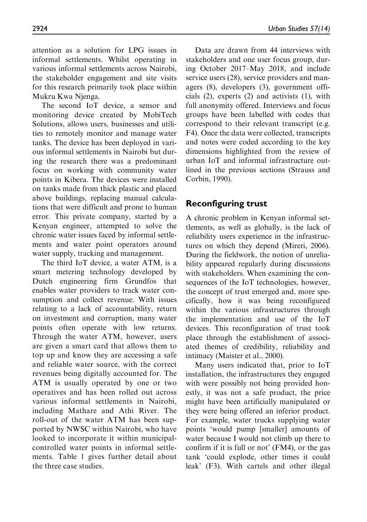attention as a solution for LPG issues in informal settlements. Whilst operating in various informal settlements across Nairobi, the stakeholder engagement and site visits for this research primarily took place within Mukru Kwa Njenga.

The second IoT device, a sensor and monitoring device created by MobiTech Solutions, allows users, businesses and utilities to remotely monitor and manage water tanks. The device has been deployed in various informal settlements in Nairobi but during the research there was a predominant focus on working with community water points in Kibera. The devices were installed on tanks made from thick plastic and placed above buildings, replacing manual calculations that were difficult and prone to human error. This private company, started by a Kenyan engineer, attempted to solve the chronic water issues faced by informal settlements and water point operators around water supply, tracking and management.

The third IoT device, a water ATM, is a smart metering technology developed by Dutch engineering firm Grundfos that enables water providers to track water consumption and collect revenue. With issues relating to a lack of accountability, return on investment and corruption, many water points often operate with low returns. Through the water ATM, however, users are given a smart card that allows them to top up and know they are accessing a safe and reliable water source, with the correct revenues being digitally accounted for. The ATM is usually operated by one or two operatives and has been rolled out across various informal settlements in Nairobi, including Mathare and Athi River. The roll-out of the water ATM has been supported by NWSC within Nairobi, who have looked to incorporate it within municipalcontrolled water points in informal settlements. Table 1 gives further detail about the three case studies.

Data are drawn from 44 interviews with stakeholders and one user focus group, during October 2017–May 2018, and include service users (28), service providers and managers (8), developers (3), government officials (2), experts (2) and activists (1), with full anonymity offered. Interviews and focus groups have been labelled with codes that correspond to their relevant transcript (e.g. F4). Once the data were collected, transcripts and notes were coded according to the key dimensions highlighted from the review of urban IoT and informal infrastructure outlined in the previous sections (Strauss and Corbin, 1990).

## Reconfiguring trust

A chronic problem in Kenyan informal settlements, as well as globally, is the lack of reliability users experience in the infrastructures on which they depend (Mireri, 2006). During the fieldwork, the notion of unreliability appeared regularly during discussions with stakeholders. When examining the consequences of the IoT technologies, however, the concept of trust emerged and, more specifically, how it was being reconfigured within the various infrastructures through the implementation and use of the IoT devices. This reconfiguration of trust took place through the establishment of associated themes of credibility, reliability and intimacy (Maister et al., 2000).

Many users indicated that, prior to IoT installation, the infrastructures they engaged with were possibly not being provided honestly, it was not a safe product, the price might have been artificially manipulated or they were being offered an inferior product. For example, water trucks supplying water points 'would pump [smaller] amounts of water because I would not climb up there to confirm if it is full or not' (FM4), or the gas tank 'could explode, other times it could leak' (F3). With cartels and other illegal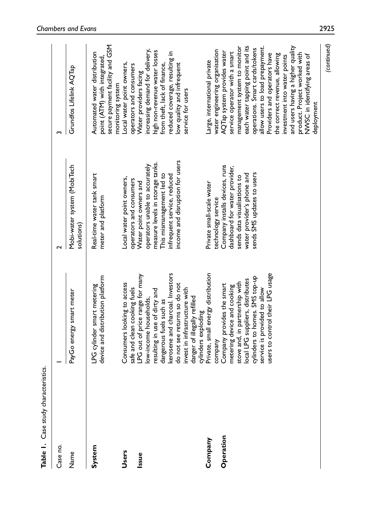| Case study characteristics.<br>Table I. |                                                                                                                      |                                                                                              |                                                                                                    |
|-----------------------------------------|----------------------------------------------------------------------------------------------------------------------|----------------------------------------------------------------------------------------------|----------------------------------------------------------------------------------------------------|
| Case no.                                |                                                                                                                      | ี                                                                                            | w                                                                                                  |
| Name                                    | PayGo energy smart meter                                                                                             | Mobi-water system (MobiTech<br>solutions)                                                    | Grundfos Lifelink AQTap                                                                            |
| System                                  | device and distribution platform<br>LPG cylinder smart metering                                                      | Real-time water tank smart<br>meter and platform                                             | secure payment facility and GSM<br>Automated water distribution<br>point (ATM) with integrated,    |
| <b>Users</b>                            | Consumers looking to access<br>safe and clean cooking fuels                                                          | Local water point owners,<br>operators and consumers                                         | Local water point owners,<br>operators and consumers<br>monitoring system                          |
| Issue                                   | LPG out of price range for many<br>low-income households,                                                            | operators unable to accurately<br>Water point owners and                                     | increasing demand for delivery,<br>Water providers facing                                          |
|                                         | kerosene and charcoal. Investors<br>resulting in use of dirty and<br>dangerous fuels such as                         | measure levels in storage tanks.<br>This mismanagement led to<br>infrequent service, reduced | high non-revenue water losses<br>educed coverage, resulting in<br>from theft, lack of finance,     |
|                                         | do not see returns so do not<br>invest in infrastructure with<br>danger of illegally refilled<br>cylinders exploding | income and disruption for users                                                              | low quality and infrequent<br>service for users                                                    |
| Company                                 | Private, small energy distribution<br>company                                                                        | Private small-scale water<br>technology service                                              | water engineering organisation<br>arge, international private                                      |
| Operation                               | Company provides the smart<br>metering device and cooking                                                            | Company installs devices, runs<br>dashboard for water provider,                              | AQTap system provides water<br>service operator with a smart                                       |
|                                         | local LPG suppliers, distributes<br>stove and, in partnership with                                                   | water provider's phone and<br>sends data visualisations to                                   | each water tapping point and its<br>management system to monitor                                   |
|                                         | users to control their LPG usage<br>cylinders to homes. SMS top-up<br>service is provided to allow                   | sends SMS updates to users                                                                   | allow users to load prepayment.<br>operations. Smart cards/tokens<br>Providers and operators have  |
|                                         |                                                                                                                      |                                                                                              | and users having a higher quality<br>the correct revenue, allowing<br>investment into water points |
|                                         |                                                                                                                      |                                                                                              | product. Project worked with<br>NVVSC in identifying areas of<br>deployment                        |

(continued)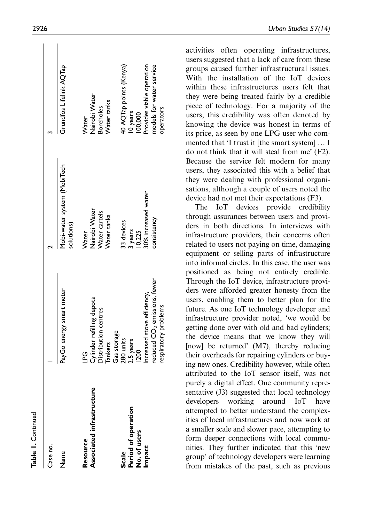| Case no.                  |                                          |                                           |                           |
|---------------------------|------------------------------------------|-------------------------------------------|---------------------------|
| Name                      | PayGo energy smart meter                 | Mobi-water system (MobiTech<br>solutions) | Grundfos Lifelink AQTap   |
| Resource                  | 9<br>Pu                                  | Water                                     | <b>Nater</b>              |
| Associated infrastructure | Cylinder refilling depots                | Nairobi Water                             | Nairobi Water             |
|                           | Distribution centres                     | Water cartels                             | <b>Boreholes</b>          |
|                           | <b>Tankers</b>                           | Water tanks                               | Water tanks               |
|                           | Gas storage                              |                                           |                           |
| Scale                     | 280 units                                | 33 devices                                | 40 AQTap points (Kenya)   |
| Period of operation       | 2.5 years                                |                                           | 10 years                  |
| No. of users              | 1200                                     | 3 years<br>10,225                         | 00,000                    |
| Impact                    | Increased stove efficiency,              | 30% increased water                       | Provides viable operation |
|                           | reduced CO <sub>2</sub> emissions, fewer | consistency                               | models for water service  |
|                           | respiratory problems                     |                                           | operators                 |
|                           |                                          |                                           |                           |

activities often operating infrastructures, users suggested that a lack of care from these groups caused further infrastructural issues. With the installation of the IoT devices within these infrastructures users felt that they were being treated fairly by a credible piece of technology. For a majority of the users, this credibility was often denoted by knowing the device was honest in terms of its price, as seen by one LPG user who commented that 'I trust it [the smart system] ... I do not think that it will steal from me' (F2). Because the service felt modern for many users, they associated this with a belief that they were dealing with professional organisations, although a couple of users noted the device had not met their expectations (F3).

The IoT devices provide credibility through assurances between users and providers in both directions. In interviews with infrastructure providers, their concerns often related to users not paying on time, damaging equipment or selling parts of infrastructure into informal circles. In this case, the user was positioned as being not entirely credible. Through the IoT device, infrastructure providers were afforded greater honesty from the users, enabling them to better plan for the future. As one IoT technology developer and infrastructure provider noted, 'we would be getting done over with old and bad cylinders; the device means that we know they will [now] be returned' (M7), thereby reducing their overheads for repairing cylinders or buying new ones. Credibility however, while often attributed to the IoT sensor itself, was not purely a digital effect. One community representative (J3) suggested that local technology developers working around IoT have attempted to better understand the complexities of local infrastructures and now work at a smaller scale and slower pace, attempting to form deeper connections with local communities. They further indicated that this 'new group' of technology developers were learning from mistakes of the past, such as previous

 $\sim 10$  $\mathbf{r}$ 

 $\overline{1}$ 

 $\mathbf{I}$ 

Table 1. Continued

Continued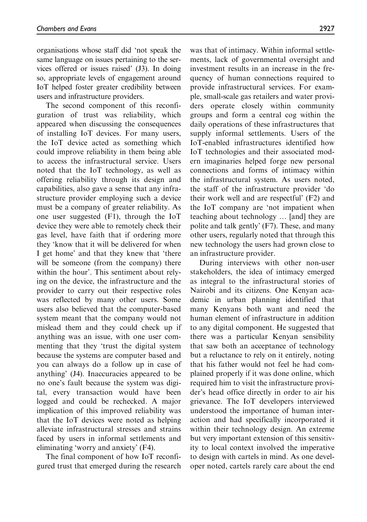organisations whose staff did 'not speak the same language on issues pertaining to the services offered or issues raised' (J3). In doing so, appropriate levels of engagement around IoT helped foster greater credibility between users and infrastructure providers.

The second component of this reconfiguration of trust was reliability, which appeared when discussing the consequences of installing IoT devices. For many users, the IoT device acted as something which could improve reliability in them being able to access the infrastructural service. Users noted that the IoT technology, as well as offering reliability through its design and capabilities, also gave a sense that any infrastructure provider employing such a device must be a company of greater reliability. As one user suggested (F1), through the IoT device they were able to remotely check their gas level, have faith that if ordering more they 'know that it will be delivered for when I get home' and that they knew that 'there will be someone (from the company) there within the hour'. This sentiment about relying on the device, the infrastructure and the provider to carry out their respective roles was reflected by many other users. Some users also believed that the computer-based system meant that the company would not mislead them and they could check up if anything was an issue, with one user commenting that they 'trust the digital system because the systems are computer based and you can always do a follow up in case of anything' (J4). Inaccuracies appeared to be no one's fault because the system was digital, every transaction would have been logged and could be rechecked. A major implication of this improved reliability was that the IoT devices were noted as helping alleviate infrastructural stresses and strains faced by users in informal settlements and eliminating 'worry and anxiety' (F4).

The final component of how IoT reconfigured trust that emerged during the research was that of intimacy. Within informal settlements, lack of governmental oversight and investment results in an increase in the frequency of human connections required to provide infrastructural services. For example, small-scale gas retailers and water providers operate closely within community groups and form a central cog within the daily operations of these infrastructures that supply informal settlements. Users of the IoT-enabled infrastructures identified how IoT technologies and their associated modern imaginaries helped forge new personal connections and forms of intimacy within the infrastructural system. As users noted, the staff of the infrastructure provider 'do their work well and are respectful' (F2) and the IoT company are 'not impatient when teaching about technology ... [and] they are polite and talk gently' (F7). These, and many other users, regularly noted that through this new technology the users had grown close to an infrastructure provider.

During interviews with other non-user stakeholders, the idea of intimacy emerged as integral to the infrastructural stories of Nairobi and its citizens. One Kenyan academic in urban planning identified that many Kenyans both want and need the human element of infrastructure in addition to any digital component. He suggested that there was a particular Kenyan sensibility that saw both an acceptance of technology but a reluctance to rely on it entirely, noting that his father would not feel he had complained properly if it was done online, which required him to visit the infrastructure provider's head office directly in order to air his grievance. The IoT developers interviewed understood the importance of human interaction and had specifically incorporated it within their technology design. An extreme but very important extension of this sensitivity to local context involved the imperative to design with cartels in mind. As one developer noted, cartels rarely care about the end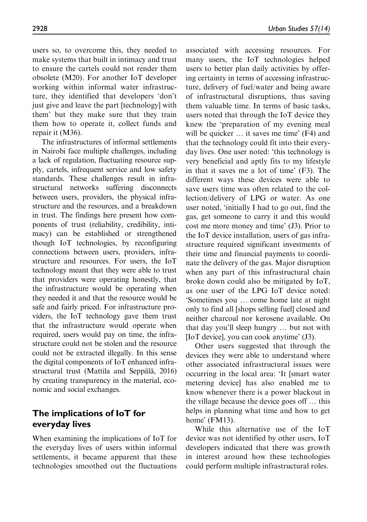users so, to overcome this, they needed to make systems that built in intimacy and trust to ensure the cartels could not render them obsolete (M20). For another IoT developer working within informal water infrastructure, they identified that developers 'don't just give and leave the part [technology] with them' but they make sure that they train them how to operate it, collect funds and repair it (M36).

The infrastructures of informal settlements in Nairobi face multiple challenges, including a lack of regulation, fluctuating resource supply, cartels, infrequent service and low safety standards. These challenges result in infrastructural networks suffering disconnects between users, providers, the physical infrastructure and the resources, and a breakdown in trust. The findings here present how components of trust (reliability, credibility, intimacy) can be established or strengthened though IoT technologies, by reconfiguring connections between users, providers, infrastructure and resources. For users, the IoT technology meant that they were able to trust that providers were operating honestly, that the infrastructure would be operating when they needed it and that the resource would be safe and fairly priced. For infrastructure providers, the IoT technology gave them trust that the infrastructure would operate when required, users would pay on time, the infrastructure could not be stolen and the resource could not be extracted illegally. In this sense the digital components of IoT enhanced infrastructural trust (Mattila and Seppälä, 2016) by creating transparency in the material, economic and social exchanges.

#### The implications of IoT for everyday lives

When examining the implications of IoT for the everyday lives of users within informal settlements, it became apparent that these technologies smoothed out the fluctuations

associated with accessing resources. For many users, the IoT technologies helped users to better plan daily activities by offering certainty in terms of accessing infrastructure, delivery of fuel/water and being aware of infrastructural disruptions, thus saving them valuable time. In terms of basic tasks, users noted that through the IoT device they knew the 'preparation of my evening meal will be quicker ... it saves me time' (F4) and that the technology could fit into their everyday lives. One user noted: 'this technology is very beneficial and aptly fits to my lifestyle in that it saves me a lot of time' (F3). The different ways these devices were able to save users time was often related to the collection/delivery of LPG or water. As one user noted, 'initially I had to go out, find the gas, get someone to carry it and this would cost me more money and time' (J3). Prior to the IoT device installation, users of gas infrastructure required significant investments of their time and financial payments to coordinate the delivery of the gas. Major disruption when any part of this infrastructural chain broke down could also be mitigated by IoT, as one user of the LPG IoT device noted: 'Sometimes you ... come home late at night only to find all [shops selling fuel] closed and neither charcoal nor kerosene available. On that day you'll sleep hungry ... but not with [IoT device], you can cook anytime' (J3).

Other users suggested that through the devices they were able to understand where other associated infrastructural issues were occurring in the local area: 'It [smart water metering device] has also enabled me to know whenever there is a power blackout in the village because the device goes off ... this helps in planning what time and how to get home' (FM13).

While this alternative use of the IoT device was not identified by other users, IoT developers indicated that there was growth in interest around how these technologies could perform multiple infrastructural roles.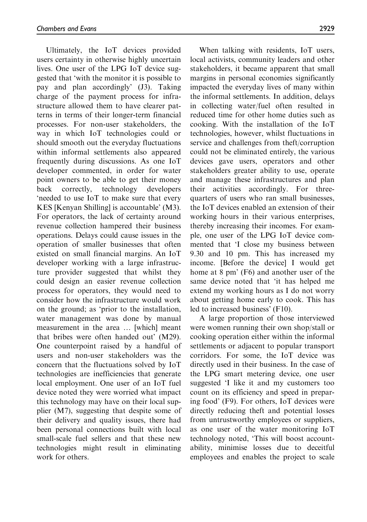Ultimately, the IoT devices provided users certainty in otherwise highly uncertain lives. One user of the LPG IoT device suggested that 'with the monitor it is possible to pay and plan accordingly' (J3). Taking charge of the payment process for infrastructure allowed them to have clearer patterns in terms of their longer-term financial processes. For non-user stakeholders, the way in which IoT technologies could or should smooth out the everyday fluctuations within informal settlements also appeared frequently during discussions. As one IoT developer commented, in order for water point owners to be able to get their money back correctly, technology developers 'needed to use IoT to make sure that every KES [Kenyan Shilling] is accountable' (M3). For operators, the lack of certainty around revenue collection hampered their business operations. Delays could cause issues in the operation of smaller businesses that often existed on small financial margins. An IoT developer working with a large infrastructure provider suggested that whilst they could design an easier revenue collection process for operators, they would need to consider how the infrastructure would work on the ground; as 'prior to the installation, water management was done by manual measurement in the area ... [which] meant that bribes were often handed out' (M29). One counterpoint raised by a handful of users and non-user stakeholders was the concern that the fluctuations solved by IoT technologies are inefficiencies that generate local employment. One user of an IoT fuel device noted they were worried what impact this technology may have on their local supplier (M7), suggesting that despite some of their delivery and quality issues, there had been personal connections built with local small-scale fuel sellers and that these new technologies might result in eliminating work for others.

When talking with residents, IoT users, local activists, community leaders and other stakeholders, it became apparent that small margins in personal economies significantly impacted the everyday lives of many within the informal settlements. In addition, delays in collecting water/fuel often resulted in reduced time for other home duties such as cooking. With the installation of the IoT technologies, however, whilst fluctuations in service and challenges from theft/corruption could not be eliminated entirely, the various devices gave users, operators and other stakeholders greater ability to use, operate and manage these infrastructures and plan their activities accordingly. For threequarters of users who ran small businesses, the IoT devices enabled an extension of their working hours in their various enterprises, thereby increasing their incomes. For example, one user of the LPG IoT device commented that 'I close my business between 9.30 and 10 pm. This has increased my income. [Before the device] I would get home at 8 pm' (F6) and another user of the same device noted that 'it has helped me extend my working hours as I do not worry about getting home early to cook. This has led to increased business' (F10).

A large proportion of those interviewed were women running their own shop/stall or cooking operation either within the informal settlements or adjacent to popular transport corridors. For some, the IoT device was directly used in their business. In the case of the LPG smart metering device, one user suggested 'I like it and my customers too count on its efficiency and speed in preparing food' (F9). For others, IoT devices were directly reducing theft and potential losses from untrustworthy employees or suppliers, as one user of the water monitoring IoT technology noted, 'This will boost accountability, minimise losses due to deceitful employees and enables the project to scale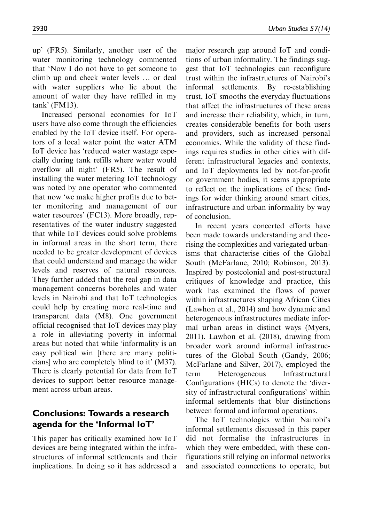up' (FR5). Similarly, another user of the water monitoring technology commented that 'Now I do not have to get someone to climb up and check water levels ... or deal with water suppliers who lie about the amount of water they have refilled in my tank' (FM13).

Increased personal economies for IoT users have also come through the efficiencies enabled by the IoT device itself. For operators of a local water point the water ATM IoT device has 'reduced water wastage especially during tank refills where water would overflow all night' (FR5). The result of installing the water metering IoT technology was noted by one operator who commented that now 'we make higher profits due to better monitoring and management of our water resources' (FC13). More broadly, representatives of the water industry suggested that while IoT devices could solve problems in informal areas in the short term, there needed to be greater development of devices that could understand and manage the wider levels and reserves of natural resources. They further added that the real gap in data management concerns boreholes and water levels in Nairobi and that IoT technologies could help by creating more real-time and transparent data (M8). One government official recognised that IoT devices may play a role in alleviating poverty in informal areas but noted that while 'informality is an easy political win [there are many politicians] who are completely blind to it' (M37). There is clearly potential for data from IoT devices to support better resource management across urban areas.

#### Conclusions: Towards a research agenda for the 'Informal IoT'

This paper has critically examined how IoT devices are being integrated within the infrastructures of informal settlements and their implications. In doing so it has addressed a

major research gap around IoT and conditions of urban informality. The findings suggest that IoT technologies can reconfigure trust within the infrastructures of Nairobi's informal settlements. By re-establishing trust, IoT smooths the everyday fluctuations that affect the infrastructures of these areas and increase their reliability, which, in turn, creates considerable benefits for both users and providers, such as increased personal economies. While the validity of these findings requires studies in other cities with different infrastructural legacies and contexts, and IoT deployments led by not-for-profit or government bodies, it seems appropriate to reflect on the implications of these findings for wider thinking around smart cities, infrastructure and urban informality by way of conclusion.

In recent years concerted efforts have been made towards understanding and theorising the complexities and variegated urbanisms that characterise cities of the Global South (McFarlane, 2010; Robinson, 2013). Inspired by postcolonial and post-structural critiques of knowledge and practice, this work has examined the flows of power within infrastructures shaping African Cities (Lawhon et al., 2014) and how dynamic and heterogeneous infrastructures mediate informal urban areas in distinct ways (Myers, 2011). Lawhon et al. (2018), drawing from broader work around informal infrastructures of the Global South (Gandy, 2006; McFarlane and Silver, 2017), employed the term Heterogeneous Infrastructural Configurations (HICs) to denote the 'diversity of infrastructural configurations' within informal settlements that blur distinctions between formal and informal operations.

The IoT technologies within Nairobi's informal settlements discussed in this paper did not formalise the infrastructures in which they were embedded, with these configurations still relying on informal networks and associated connections to operate, but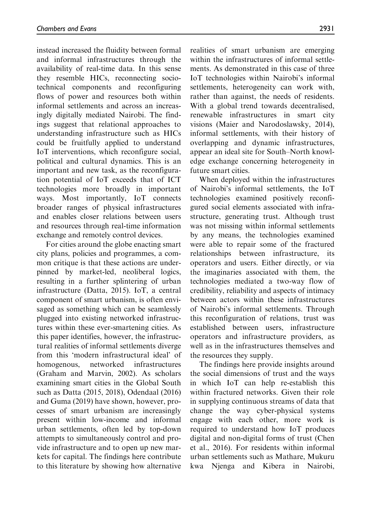instead increased the fluidity between formal and informal infrastructures through the availability of real-time data. In this sense they resemble HICs, reconnecting sociotechnical components and reconfiguring flows of power and resources both within informal settlements and across an increasingly digitally mediated Nairobi. The findings suggest that relational approaches to understanding infrastructure such as HICs could be fruitfully applied to understand IoT interventions, which reconfigure social, political and cultural dynamics. This is an important and new task, as the reconfiguration potential of IoT exceeds that of ICT technologies more broadly in important ways. Most importantly, IoT connects broader ranges of physical infrastructures and enables closer relations between users and resources through real-time information exchange and remotely control devices.

For cities around the globe enacting smart city plans, policies and programmes, a common critique is that these actions are underpinned by market-led, neoliberal logics, resulting in a further splintering of urban infrastructure (Datta, 2015). IoT, a central component of smart urbanism, is often envisaged as something which can be seamlessly plugged into existing networked infrastructures within these ever-smartening cities. As this paper identifies, however, the infrastructural realities of informal settlements diverge from this 'modern infrastructural ideal' of homogenous, networked infrastructures (Graham and Marvin, 2002). As scholars examining smart cities in the Global South such as Datta (2015, 2018), Odendaal (2016) and Guma (2019) have shown, however, processes of smart urbanism are increasingly present within low-income and informal urban settlements, often led by top-down attempts to simultaneously control and provide infrastructure and to open up new markets for capital. The findings here contribute to this literature by showing how alternative

realities of smart urbanism are emerging within the infrastructures of informal settlements. As demonstrated in this case of three IoT technologies within Nairobi's informal settlements, heterogeneity can work with, rather than against, the needs of residents. With a global trend towards decentralised, renewable infrastructures in smart city visions (Maier and Narodoslawsky, 2014), informal settlements, with their history of overlapping and dynamic infrastructures, appear an ideal site for South–North knowledge exchange concerning heterogeneity in future smart cities.

When deployed within the infrastructures of Nairobi's informal settlements, the IoT technologies examined positively reconfigured social elements associated with infrastructure, generating trust. Although trust was not missing within informal settlements by any means, the technologies examined were able to repair some of the fractured relationships between infrastructure, its operators and users. Either directly, or via the imaginaries associated with them, the technologies mediated a two-way flow of credibility, reliability and aspects of intimacy between actors within these infrastructures of Nairobi's informal settlements. Through this reconfiguration of relations, trust was established between users, infrastructure operators and infrastructure providers, as well as in the infrastructures themselves and the resources they supply.

The findings here provide insights around the social dimensions of trust and the ways in which IoT can help re-establish this within fractured networks. Given their role in supplying continuous streams of data that change the way cyber-physical systems engage with each other, more work is required to understand how IoT produces digital and non-digital forms of trust (Chen et al., 2016). For residents within informal urban settlements such as Mathare, Mukuru kwa Njenga and Kibera in Nairobi,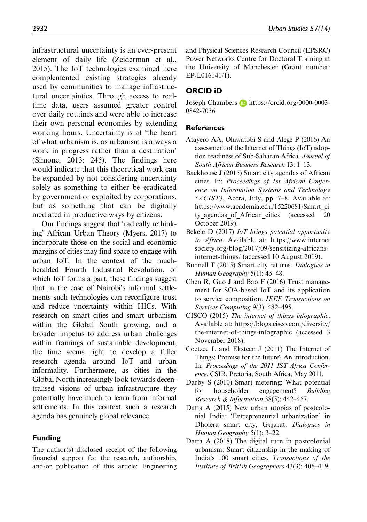infrastructural uncertainty is an ever-present element of daily life (Zeiderman et al., 2015). The IoT technologies examined here complemented existing strategies already used by communities to manage infrastructural uncertainties. Through access to realtime data, users assumed greater control over daily routines and were able to increase their own personal economies by extending working hours. Uncertainty is at 'the heart of what urbanism is, as urbanism is always a work in progress rather than a destination' (Simone, 2013: 245). The findings here would indicate that this theoretical work can be expanded by not considering uncertainty solely as something to either be eradicated by government or exploited by corporations, but as something that can be digitally mediated in productive ways by citizens.

Our findings suggest that 'radically rethinking' African Urban Theory (Myers, 2017) to incorporate those on the social and economic margins of cities may find space to engage with urban IoT. In the context of the muchheralded Fourth Industrial Revolution, of which IoT forms a part, these findings suggest that in the case of Nairobi's informal settlements such technologies can reconfigure trust and reduce uncertainty within HICs. With research on smart cities and smart urbanism within the Global South growing, and a broader impetus to address urban challenges within framings of sustainable development, the time seems right to develop a fuller research agenda around IoT and urban informality. Furthermore, as cities in the Global North increasingly look towards decentralised visions of urban infrastructure they potentially have much to learn from informal settlements. In this context such a research agenda has genuinely global relevance.

## Funding

The author(s) disclosed receipt of the following financial support for the research, authorship, and/or publication of this article: Engineering and Physical Sciences Research Council (EPSRC) Power Networks Centre for Doctoral Training at the University of Manchester (Grant number: EP/L016141/1).

## ORCID iD

Joseph Chambers **b** [https://orcid.org/0000-0003-](https://orcid.org/0000-0003-0842-7036) [0842-7036](https://orcid.org/0000-0003-0842-7036)

## References

- Atayero AA, Oluwatobi S and Alege P (2016) An assessment of the Internet of Things (IoT) adoption readiness of Sub-Saharan Africa. Journal of South African Business Research 13: 1–13.
- Backhouse J (2015) Smart city agendas of African cities. In: Proceedings of 1st African Conference on Information Systems and Technology  $(ACIST)$ , Accra, July, pp. 7–8. Available at: [https://www.academia.edu/15220681/Smart\\_ci](https://www.academia.edu/15220681/Smart_city_agendas_of_African_cities) ty agendas of African cities (accessed 20 October 2019).
- Bekele D (2017) IoT brings potential opportunity to Africa. Available at: [https://www.internet](https://www.internetsociety.org/blog/2017/09/sensitizing-africans-internet-things/) [society.org/blog/2017/09/sensitizing-africans](https://www.internetsociety.org/blog/2017/09/sensitizing-africans-internet-things/)[internet-things/](https://www.internetsociety.org/blog/2017/09/sensitizing-africans-internet-things/) (accessed 10 August 2019).
- Bunnell T (2015) Smart city returns. Dialogues in Human Geography 5(1): 45–48.
- Chen R, Guo J and Bao F (2016) Trust management for SOA-based IoT and its application to service composition. IEEE Transactions on Services Computing 9(3): 482–495.
- CISCO (2015) The internet of things infographic. Available at: [https://blogs.cisco.com/diversity/](https://blogs.cisco.com/diversity/the-internet-of-things-infographic) [the-internet-of-things-infographic](https://blogs.cisco.com/diversity/the-internet-of-things-infographic) (accessed 3 November 2018).
- Coetzee L and Eksteen J (2011) The Internet of Things: Promise for the future? An introduction. In: Proceedings of the 2011 IST-Africa Conference. CSIR, Pretoria, South Africa, May 2011.
- Darby S (2010) Smart metering: What potential for householder engagement? Building Research & Information 38(5): 442–457.
- Datta A (2015) New urban utopias of postcolonial India: 'Entrepreneurial urbanization' in Dholera smart city, Gujarat. Dialogues in Human Geography 5(1): 3–22.
- Datta A (2018) The digital turn in postcolonial urbanism: Smart citizenship in the making of India's 100 smart cities. Transactions of the Institute of British Geographers 43(3): 405–419.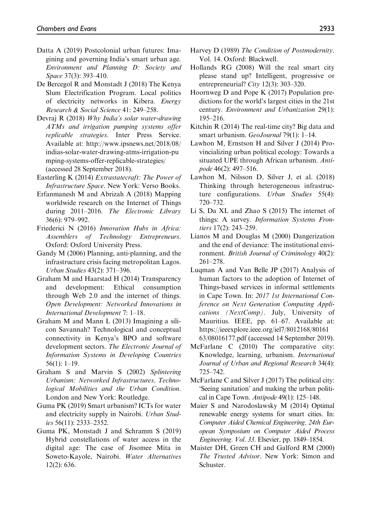- Datta A (2019) Postcolonial urban futures: Imagining and governing India's smart urban age. Environment and Planning D: Society and Space 37(3): 393–410.
- De Bercegol R and Monstadt J (2018) The Kenya Slum Electrification Program. Local politics of electricity networks in Kibera. Energy Research & Social Science 41: 249–258.
- Devraj R (2018) Why India's solar water-drawing ATMs and irrigation pumping systems offer replicable strategies. Inter Press Service. Available at: [http://www.ipsnews.net/2018/08/](http://www.ipsnews.net/2018/08/indias-solar-water-drawing-atms-irrigation-pumping-systems-offer-replicable-strategies/) [indias-solar-water-drawing-atms-irrigation-pu](http://www.ipsnews.net/2018/08/indias-solar-water-drawing-atms-irrigation-pumping-systems-offer-replicable-strategies/) [mping-systems-offer-replicable-strategies/](http://www.ipsnews.net/2018/08/indias-solar-water-drawing-atms-irrigation-pumping-systems-offer-replicable-strategies/) (accessed 28 September 2018).
- Easterling K (2014) Extrastatecraft: The Power of Infrastructure Space. New York: Verso Books.
- Erfanmanesh M and Abrizah A (2018) Mapping worldwide research on the Internet of Things during 2011–2016. The Electronic Library 36(6): 979–992.
- Friederici N (2016) Innovation Hubs in Africa: Assemblers of Technology Entrepreneurs. Oxford: Oxford University Press.
- Gandy M (2006) Planning, anti-planning, and the infrastructure crisis facing metropolitan Lagos. Urban Studies 43(2): 371–396.
- Graham M and Haarstad H (2014) Transparency and development: Ethical consumption through Web 2.0 and the internet of things. Open Development: Networked Innovations in International Development 7: 1–18.
- Graham M and Mann L (2013) Imagining a silicon Savannah? Technological and conceptual connectivity in Kenya's BPO and software development sectors. The Electronic Journal of Information Systems in Developing Countries 56(1): 1–19.
- Graham S and Marvin S (2002) Splintering Urbanism: Networked Infrastructures, Technological Mobilities and the Urban Condition. London and New York: Routledge.
- Guma PK (2019) Smart urbanism? ICTs for water and electricity supply in Nairobi. Urban Studies 56(11): 2333–2352.
- Guma PK, Monstadt J and Schramm S (2019) Hybrid constellations of water access in the digital age: The case of Jisomee Mita in Soweto-Kayole, Nairobi. Water Alternatives 12(2): 636.
- Harvey D (1989) The Condition of Postmodernity. Vol. 14. Oxford: Blackwell.
- Hollands RG (2008) Will the real smart city please stand up? Intelligent, progressive or entrepreneurial?  $City$  12(3): 303–320.
- Hoornweg D and Pope K (2017) Population predictions for the world's largest cities in the 21st century. Environment and Urbanization 29(1): 195–216.
- Kitchin R (2014) The real-time city? Big data and smart urbanism. GeoJournal 79(1): 1-14.
- Lawhon M, Ernstson H and Silver J (2014) Provincializing urban political ecology: Towards a situated UPE through African urbanism. Antipode 46(2): 497–516.
- Lawhon M, Nilsson D, Silver J, et al. (2018) Thinking through heterogeneous infrastructure configurations. Urban Studies 55(4): 720–732.
- Li S, Da XL and Zhao S (2015) The internet of things: A survey. Information Systems Frontiers 17(2): 243–259.
- Lianos M and Douglas M (2000) Dangerization and the end of deviance: The institutional environment. British Journal of Criminology 40(2): 261–278.
- Luqman A and Van Belle JP (2017) Analysis of human factors to the adoption of Internet of Things-based services in informal settlements in Cape Town. In: 2017 1st International Conference on Next Generation Computing Applications (NextComp). July, University of Mauritius. IEEE, pp. 61–67. Available at: [https://ieeexplore.ieee.org/iel7/8012168/80161](https://ieeexplore.ieee.org/iel7/8012168/8016163/08016177.pdf) [63/08016177.pdf](https://ieeexplore.ieee.org/iel7/8012168/8016163/08016177.pdf) (accessed 14 September 2019).
- McFarlane C (2010) The comparative city: Knowledge, learning, urbanism. International Journal of Urban and Regional Research 34(4): 725–742.
- McFarlane C and Silver J (2017) The political city: 'Seeing sanitation' and making the urban political in Cape Town. Antipode 49(1): 125–148.
- Maier S and Narodoslawsky M (2014) Optimal renewable energy systems for smart cities. In: Computer Aided Chemical Engineering, 24th European Symposium on Computer Aided Process Engineering. Vol. 33. Elsevier, pp. 1849–1854.
- Maister DH, Green CH and Galford RM (2000) The Trusted Advisor. New York: Simon and Schuster.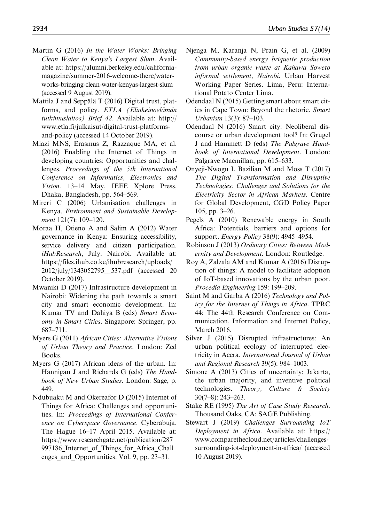- Martin G (2016) In the Water Works: Bringing Clean Water to Kenya's Largest Slum. Available at: [https://alumni.berkeley.edu/california](https://alumni.berkeley.edu/california-magazine/summer-2016-welcome-there/water-works-bringing-clean-water-kenyas-largest-slum)[magazine/summer-2016-welcome-there/water](https://alumni.berkeley.edu/california-magazine/summer-2016-welcome-there/water-works-bringing-clean-water-kenyas-largest-slum)[works-bringing-clean-water-kenyas-largest-slum](https://alumni.berkeley.edu/california-magazine/summer-2016-welcome-there/water-works-bringing-clean-water-kenyas-largest-slum) (accessed 9 August 2019).
- Mattila J and Seppälä  $T(2016)$  Digital trust, platforms, and policy. ETLA (Elinkeinoelämän tutkimuslaitos) Brief 42. Available at: [http://](http://www.etla.fi/julkaisut/digital-trust-platforms-and-policy) [www.etla.fi/julkaisut/digital-trust-platforms](http://www.etla.fi/julkaisut/digital-trust-platforms-and-policy)[and-policy](http://www.etla.fi/julkaisut/digital-trust-platforms-and-policy) (accessed 14 October 2019).
- Miazi MNS, Erasmus Z, Razzaque MA, et al. (2016) Enabling the Internet of Things in developing countries: Opportunities and challenges. Proceedings of the 5th International Conference on Informatics, Electronics and Vision. 13–14 May, IEEE Xplore Press, Dhaka, Bangladesh, pp. 564–569.
- Mireri C (2006) Urbanisation challenges in Kenya. Environment and Sustainable Development 121(7): 109–120.
- Moraa H, Otieno A and Salim A (2012) Water governance in Kenya: Ensuring accessibility, service delivery and citizen participation. iHubResearch, July. Nairobi. Available at: [https://files.ihub.co.ke/ihubresearch/uploads/](https://files.ihub.co.ke/ihubresearch/uploads/2012/july/1343052795__537.pdf) 2012/july/1343052795 537.pdf (accessed 20 October 2019).
- Mwaniki D (2017) Infrastructure development in Nairobi: Widening the path towards a smart city and smart economic development. In: Kumar TV and Dahiya B (eds) Smart Economy in Smart Cities. Singapore: Springer, pp. 687–711.
- Myers G (2011) African Cities: Alternative Visions of Urban Theory and Practice. London: Zed Books.
- Myers G (2017) African ideas of the urban. In: Hannigan J and Richards G (eds) The Handbook of New Urban Studies. London: Sage, p. 449.
- Ndubuaku M and Okereafor D (2015) Internet of Things for Africa: Challenges and opportunities. In: Proceedings of International Conference on Cyberspace Governance. Cyberabuja. The Hague 16–17 April 2015. Available at: [https://www.researchgate.net/publication/287](https://www.researchgate.net/publication/287997186_Internet_of_Things_for_Africa_Challenges_and_Opportunities) 997186 Internet of Things for Africa Chall enges and Opportunities. Vol. 9, pp. 23–31.
- Njenga M, Karanja N, Prain G, et al. (2009) Community-based energy briquette production from urban organic waste at Kahawa Soweto informal settlement, Nairobi. Urban Harvest Working Paper Series. Lima, Peru: International Potato Center Lima.
- Odendaal N (2015) Getting smart about smart cities in Cape Town: Beyond the rhetoric. Smart Urbanism 13(3): 87–103.
- Odendaal N (2016) Smart city: Neoliberal discourse or urban development tool? In: Grugel J and Hammett D (eds) The Palgrave Handbook of International Development. London: Palgrave Macmillan, pp. 615–633.
- Onyeji-Nwogu I, Bazilian M and Moss T (2017) The Digital Transformation and Disruptive Technologies: Challenges and Solutions for the Electricity Sector in African Markets. Centre for Global Development, CGD Policy Paper 105, pp. 3–26.
- Pegels A (2010) Renewable energy in South Africa: Potentials, barriers and options for support. Energy Policy 38(9): 4945–4954.
- Robinson J (2013) Ordinary Cities: Between Modernity and Development. London: Routledge.
- Roy A, Zalzala AM and Kumar A (2016) Disruption of things: A model to facilitate adoption of IoT-based innovations by the urban poor. Procedia Engineering 159: 199–209.
- Saint M and Garba A (2016) Technology and Policy for the Internet of Things in Africa. TPRC 44: The 44th Research Conference on Communication, Information and Internet Policy, March 2016.
- Silver J (2015) Disrupted infrastructures: An urban political ecology of interrupted electricity in Accra. International Journal of Urban and Regional Research 39(5): 984–1003.
- Simone A (2013) Cities of uncertainty: Jakarta, the urban majority, and inventive political technologies. Theory, Culture & Society 30(7–8): 243–263.
- Stake RE (1995) The Art of Case Study Research. Thousand Oaks, CA: SAGE Publishing.
- Stewart J (2019) Challenges Surrounding IoT Deployment in Africa. Available at: [https://](https://www.comparethecloud.net/articles/challenges-surrounding-iot-deployment-in-africa/) [www.comparethecloud.net/articles/challenges](https://www.comparethecloud.net/articles/challenges-surrounding-iot-deployment-in-africa/)[surrounding-iot-deployment-in-africa/](https://www.comparethecloud.net/articles/challenges-surrounding-iot-deployment-in-africa/) (accessed 10 August 2019).